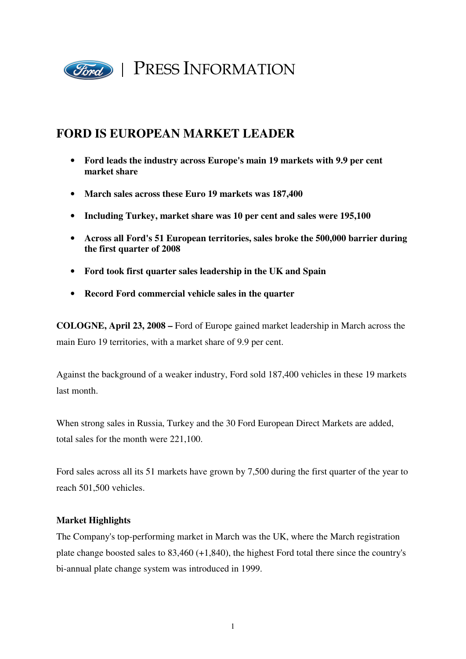

## **FORD IS EUROPEAN MARKET LEADER**

- **Ford leads the industry across Europe's main 19 markets with 9.9 per cent market share**
- **March sales across these Euro 19 markets was 187,400**
- **Including Turkey, market share was 10 per cent and sales were 195,100**
- **Across all Ford's 51 European territories, sales broke the 500,000 barrier during the first quarter of 2008**
- **Ford took first quarter sales leadership in the UK and Spain**
- **Record Ford commercial vehicle sales in the quarter**

**COLOGNE, April 23, 2008 –** Ford of Europe gained market leadership in March across the main Euro 19 territories, with a market share of 9.9 per cent.

Against the background of a weaker industry, Ford sold 187,400 vehicles in these 19 markets last month.

When strong sales in Russia, Turkey and the 30 Ford European Direct Markets are added, total sales for the month were 221,100.

Ford sales across all its 51 markets have grown by 7,500 during the first quarter of the year to reach 501,500 vehicles.

## **Market Highlights**

The Company's top-performing market in March was the UK, where the March registration plate change boosted sales to 83,460 (+1,840), the highest Ford total there since the country's bi-annual plate change system was introduced in 1999.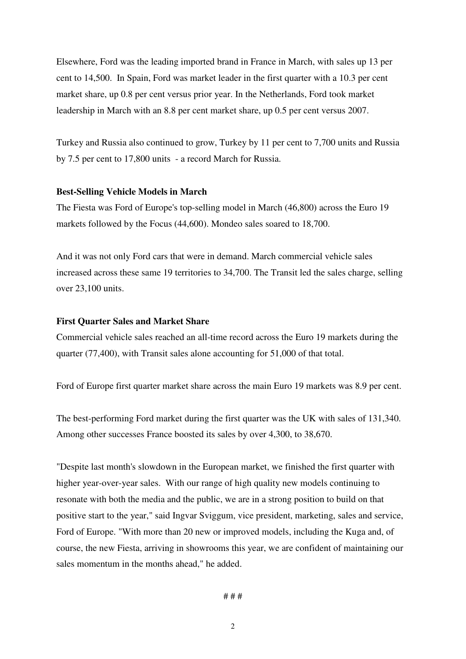Elsewhere, Ford was the leading imported brand in France in March, with sales up 13 per cent to 14,500. In Spain, Ford was market leader in the first quarter with a 10.3 per cent market share, up 0.8 per cent versus prior year. In the Netherlands, Ford took market leadership in March with an 8.8 per cent market share, up 0.5 per cent versus 2007.

Turkey and Russia also continued to grow, Turkey by 11 per cent to 7,700 units and Russia by 7.5 per cent to 17,800 units - a record March for Russia.

## **Best-Selling Vehicle Models in March**

The Fiesta was Ford of Europe's top-selling model in March (46,800) across the Euro 19 markets followed by the Focus (44,600). Mondeo sales soared to 18,700.

And it was not only Ford cars that were in demand. March commercial vehicle sales increased across these same 19 territories to 34,700. The Transit led the sales charge, selling over 23,100 units.

## **First Quarter Sales and Market Share**

Commercial vehicle sales reached an all-time record across the Euro 19 markets during the quarter (77,400), with Transit sales alone accounting for 51,000 of that total.

Ford of Europe first quarter market share across the main Euro 19 markets was 8.9 per cent.

The best-performing Ford market during the first quarter was the UK with sales of 131,340. Among other successes France boosted its sales by over 4,300, to 38,670.

"Despite last month's slowdown in the European market, we finished the first quarter with higher year-over-year sales. With our range of high quality new models continuing to resonate with both the media and the public, we are in a strong position to build on that positive start to the year," said Ingvar Sviggum, vice president, marketing, sales and service, Ford of Europe. "With more than 20 new or improved models, including the Kuga and, of course, the new Fiesta, arriving in showrooms this year, we are confident of maintaining our sales momentum in the months ahead," he added.

# # #